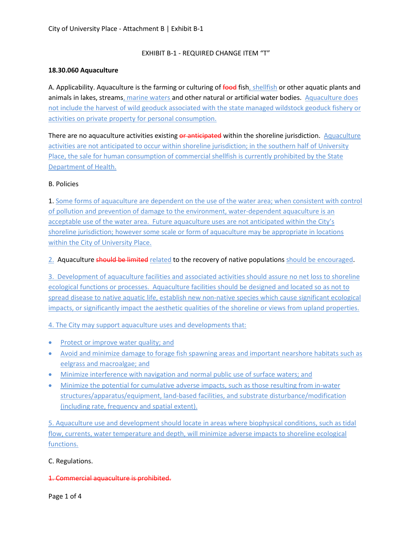## EXHIBIT B-1 - REQUIRED CHANGE ITEM "T"

### **18.30.060 Aquaculture**

A. Applicability. Aquaculture is the farming or culturing of food fish, shellfish or other aquatic plants and animals in lakes, streams, marine waters and other natural or artificial water bodies. Aquaculture does not include the harvest of wild geoduck associated with the state managed wildstock geoduck fishery or activities on private property for personal consumption.

There are no aquaculture activities existing or anticipated within the shoreline jurisdiction. Aquaculture activities are not anticipated to occur within shoreline jurisdiction; in the southern half of University Place, the sale for human consumption of commercial shellfish is currently prohibited by the State Department of Health.

### B. Policies

1. Some forms of aquaculture are dependent on the use of the water area; when consistent with control of pollution and prevention of damage to the environment, water-dependent aquaculture is an acceptable use of the water area. Future aquaculture uses are not anticipated within the City's shoreline jurisdiction; however some scale or form of aquaculture may be appropriate in locations within the City of University Place.

### 2. Aquaculture should be limited related to the recovery of native populations should be encouraged.

3. Development of aquaculture facilities and associated activities should assure no net loss to shoreline ecological functions or processes. Aquaculture facilities should be designed and located so as not to spread disease to native aquatic life, establish new non-native species which cause significant ecological impacts, or significantly impact the aesthetic qualities of the shoreline or views from upland properties.

4. The City may support aquaculture uses and developments that:

- Protect or improve water quality; and
- Avoid and minimize damage to forage fish spawning areas and important nearshore habitats such as eelgrass and macroalgae; and
- Minimize interference with navigation and normal public use of surface waters; and
- Minimize the potential for cumulative adverse impacts, such as those resulting from in-water structures/apparatus/equipment, land-based facilities, and substrate disturbance/modification (including rate, frequency and spatial extent).

5. Aquaculture use and development should locate in areas where biophysical conditions, such as tidal flow, currents, water temperature and depth, will minimize adverse impacts to shoreline ecological functions.

#### C. Regulations.

1. Commercial aquaculture is prohibited.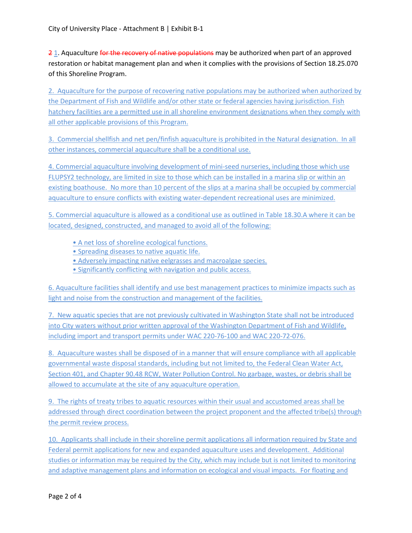21. Aquaculture for the recovery of native populations may be authorized when part of an approved restoration or habitat management plan and when it complies with the provisions of Section 18.25.070 of this Shoreline Program.

2. Aquaculture for the purpose of recovering native populations may be authorized when authorized by the Department of Fish and Wildlife and/or other state or federal agencies having jurisdiction. Fish hatchery facilities are a permitted use in all shoreline environment designations when they comply with all other applicable provisions of this Program.

3. Commercial shellfish and net pen/finfish aquaculture is prohibited in the Natural designation. In all other instances, commercial aquaculture shall be a conditional use.

4. Commercial aquaculture involving development of mini-seed nurseries, including those which use FLUPSY2 technology, are limited in size to those which can be installed in a marina slip or within an existing boathouse. No more than 10 percent of the slips at a marina shall be occupied by commercial aquaculture to ensure conflicts with existing water-dependent recreational uses are minimized.

5. Commercial aquaculture is allowed as a conditional use as outlined in Table 18.30.A where it can be located, designed, constructed, and managed to avoid all of the following:

- A net loss of shoreline ecological functions.
- Spreading diseases to native aquatic life.
- Adversely impacting native eelgrasses and macroalgae species.
- Significantly conflicting with navigation and public access.

6. Aquaculture facilities shall identify and use best management practices to minimize impacts such as light and noise from the construction and management of the facilities.

7. New aquatic species that are not previously cultivated in Washington State shall not be introduced into City waters without prior written approval of the Washington Department of Fish and Wildlife, including import and transport permits under WAC 220-76-100 and WAC 220-72-076.

8. Aquaculture wastes shall be disposed of in a manner that will ensure compliance with all applicable governmental waste disposal standards, including but not limited to, the Federal Clean Water Act, Section 401, and Chapter 90.48 RCW, Water Pollution Control. No garbage, wastes, or debris shall be allowed to accumulate at the site of any aquaculture operation.

9. The rights of treaty tribes to aquatic resources within their usual and accustomed areas shall be addressed through direct coordination between the project proponent and the affected tribe(s) through the permit review process.

10. Applicants shall include in their shoreline permit applications all information required by State and Federal permit applications for new and expanded aquaculture uses and development. Additional studies or information may be required by the City, which may include but is not limited to monitoring and adaptive management plans and information on ecological and visual impacts. For floating and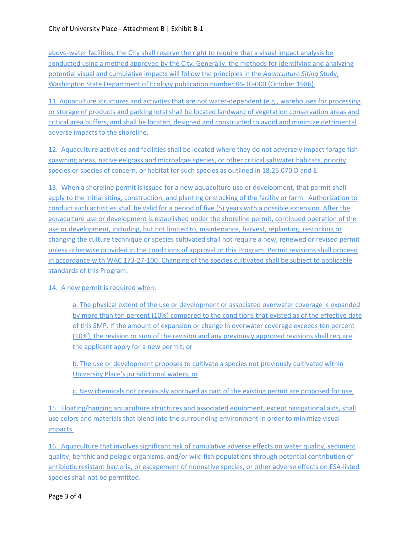above-water facilities, the City shall reserve the right to require that a visual impact analysis be conducted using a method approved by the City. Generally, the methods for identifying and analyzing potential visual and cumulative impacts will follow the principles in the *Aquaculture Siting* Study, Washington State Department of Ecology publication number 86-10-000 (October 1986).

11. Aquaculture structures and activities that are not water-dependent (e.g., warehouses for processing or storage of products and parking lots) shall be located landward of vegetation conservation areas and critical area buffers, and shall be located, designed and constructed to avoid and minimize detrimental adverse impacts to the shoreline.

12. Aquaculture activities and facilities shall be located where they do not adversely impact forage fish spawning areas, native eelgrass and microalgae species, or other critical saltwater habitats, priority species or species of concern, or habitat for such species as outlined in 18.25.070.D and E.

13. When a shoreline permit is issued for a new aquaculture use or development, that permit shall apply to the initial siting, construction, and planting or stocking of the facility or farm. Authorization to conduct such activities shall be valid for a period of five (5) years with a possible extension. After the aquaculture use or development is established under the shoreline permit, continued operation of the use or development, including, but not limited to, maintenance, harvest, replanting, restocking or changing the culture technique or species cultivated shall not require a new, renewed or revised permit unless otherwise provided in the conditions of approval or this Program. Permit revisions shall proceed in accordance with WAC 173-27-100. Changing of the species cultivated shall be subject to applicable standards of this Program.

# 14. A new permit is required when:

a. The physical extent of the use or development or associated overwater coverage is expanded by more than ten percent (10%) compared to the conditions that existed as of the effective date of this SMP. If the amount of expansion or change in overwater coverage exceeds ten percent (10%), the revision or sum of the revision and any previously approved revisions shall require the applicant apply for a new permit; or

b. The use or development proposes to cultivate a species not previously cultivated within University Place's jurisdictional waters; or

c. New chemicals not previously approved as part of the existing permit are proposed for use.

15. Floating/hanging aquaculture structures and associated equipment, except navigational aids, shall use colors and materials that blend into the surrounding environment in order to minimize visual impacts.

16. Aquaculture that involves significant risk of cumulative adverse effects on water quality, sediment quality, benthic and pelagic organisms, and/or wild fish populations through potential contribution of antibiotic resistant bacteria, or escapement of nonnative species, or other adverse effects on ESA-listed species shall not be permitted.